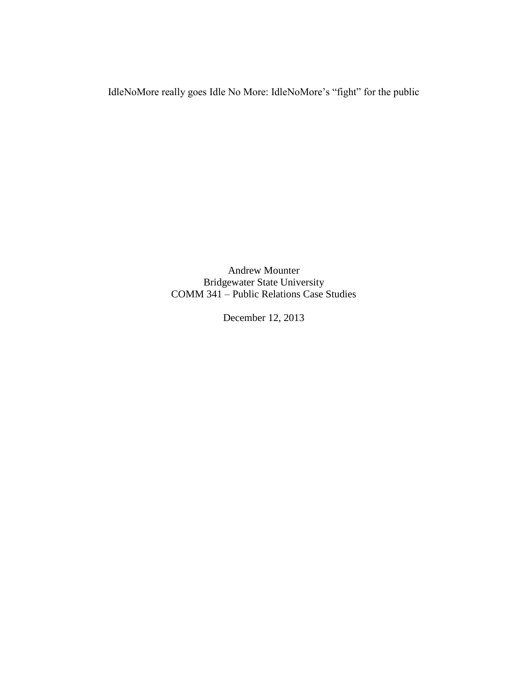IdleNoMore really goes Idle No More: IdleNoMore's "fight" for the public

Andrew Mounter Bridgewater State University COMM 341 – Public Relations Case Studies

December 12, 2013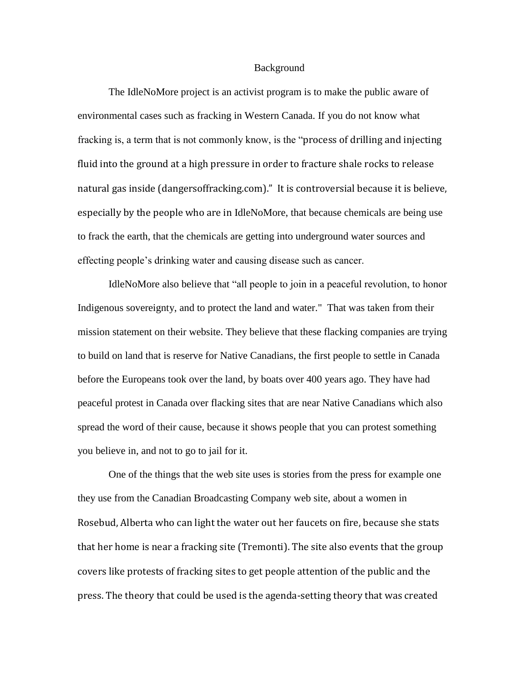## Background

The IdleNoMore project is an activist program is to make the public aware of environmental cases such as fracking in Western Canada. If you do not know what fracking is, a term that is not commonly know, is the "process of drilling and injecting fluid into the ground at a high pressure in order to fracture shale rocks to release natural gas inside (dangersoffracking.com)." It is controversial because it is believe, especially by the people who are in IdleNoMore, that because chemicals are being use to frack the earth, that the chemicals are getting into underground water sources and effecting people's drinking water and causing disease such as cancer.

IdleNoMore also believe that "all people to join in a peaceful revolution, to honor Indigenous sovereignty, and to protect the land and water." That was taken from their mission statement on their website. They believe that these flacking companies are trying to build on land that is reserve for Native Canadians, the first people to settle in Canada before the Europeans took over the land, by boats over 400 years ago. They have had peaceful protest in Canada over flacking sites that are near Native Canadians which also spread the word of their cause, because it shows people that you can protest something you believe in, and not to go to jail for it.

One of the things that the web site uses is stories from the press for example one they use from the Canadian Broadcasting Company web site, about a women in Rosebud, Alberta who can light the water out her faucets on fire, because she stats that her home is near a fracking site (Tremonti). The site also events that the group covers like protests of fracking sites to get people attention of the public and the press. The theory that could be used is the agenda-setting theory that was created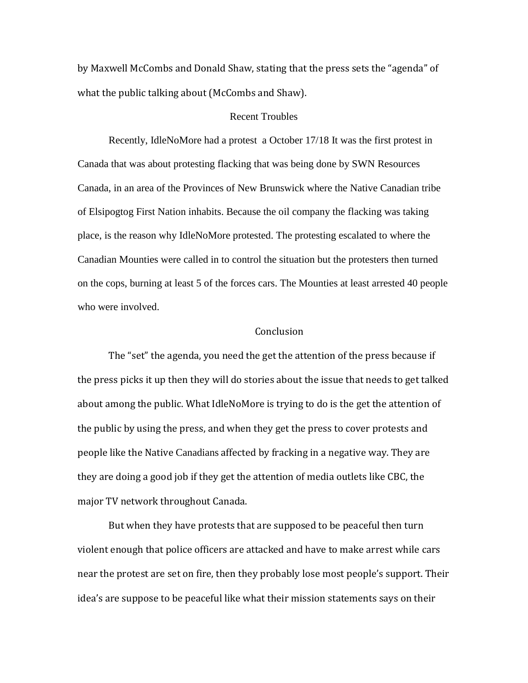by Maxwell McCombs and Donald Shaw, stating that the press sets the "agenda" of what the public talking about (McCombs and Shaw).

## Recent Troubles

Recently, IdleNoMore had a protest a October 17/18 It was the first protest in Canada that was about protesting flacking that was being done by SWN Resources Canada, in an area of the Provinces of New Brunswick where the Native Canadian tribe of Elsipogtog First Nation inhabits. Because the oil company the flacking was taking place, is the reason why IdleNoMore protested. The protesting escalated to where the Canadian Mounties were called in to control the situation but the protesters then turned on the cops, burning at least 5 of the forces cars. The Mounties at least arrested 40 people who were involved.

## **Conclusion**

The "set" the agenda, you need the get the attention of the press because if the press picks it up then they will do stories about the issue that needs to get talked about among the public. What IdleNoMore is trying to do is the get the attention of the public by using the press, and when they get the press to cover protests and people like the Native Canadians affected by fracking in a negative way. They are they are doing a good job if they get the attention of media outlets like CBC, the major TV network throughout Canada.

But when they have protests that are supposed to be peaceful then turn violent enough that police officers are attacked and have to make arrest while cars near the protest are set on fire, then they probably lose most people's support. Their idea's are suppose to be peaceful like what their mission statements says on their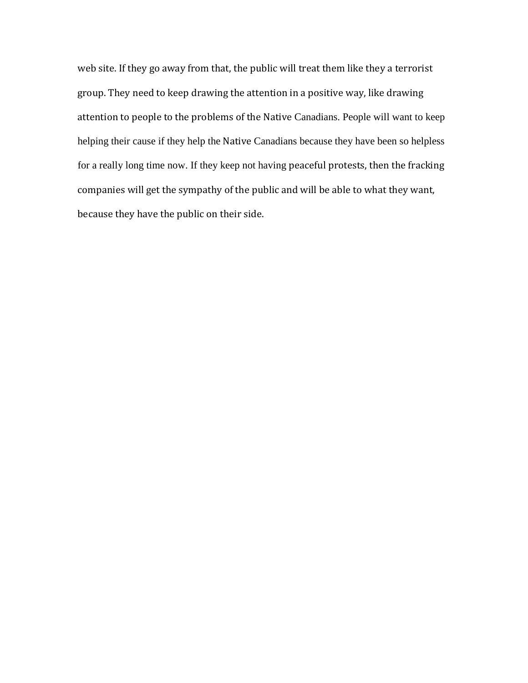web site. If they go away from that, the public will treat them like they a terrorist group. They need to keep drawing the attention in a positive way, like drawing attention to people to the problems of the Native Canadians. People will want to keep helping their cause if they help the Native Canadians because they have been so helpless for a really long time now. If they keep not having peaceful protests, then the fracking companies will get the sympathy of the public and will be able to what they want, because they have the public on their side.